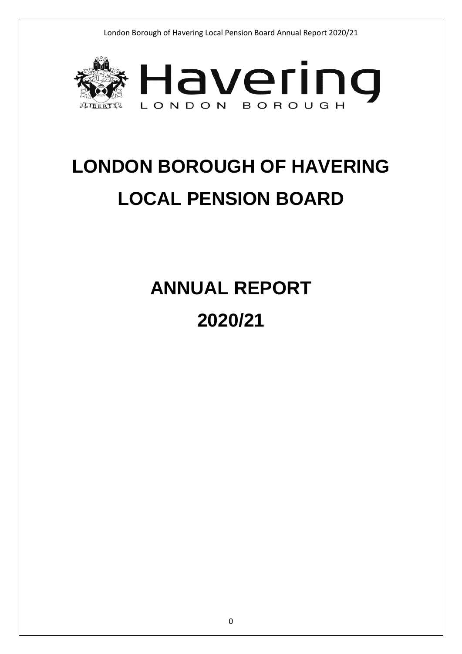

# **LONDON BOROUGH OF HAVERING LOCAL PENSION BOARD**

**ANNUAL REPORT 2020/21**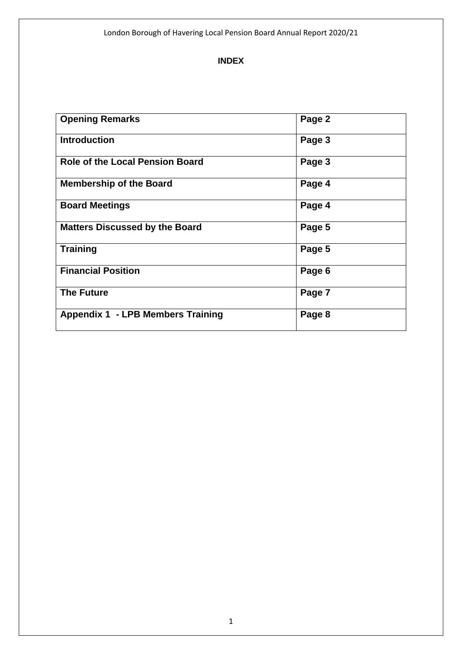#### **INDEX**

| <b>Opening Remarks</b>                   | Page 2 |
|------------------------------------------|--------|
| <b>Introduction</b>                      | Page 3 |
| <b>Role of the Local Pension Board</b>   | Page 3 |
| <b>Membership of the Board</b>           | Page 4 |
| <b>Board Meetings</b>                    | Page 4 |
| <b>Matters Discussed by the Board</b>    | Page 5 |
| <b>Training</b>                          | Page 5 |
| <b>Financial Position</b>                | Page 6 |
| <b>The Future</b>                        | Page 7 |
| <b>Appendix 1 - LPB Members Training</b> | Page 8 |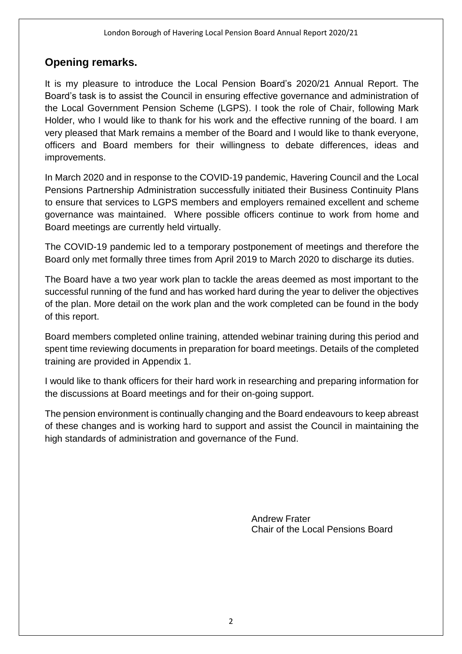#### **Opening remarks.**

It is my pleasure to introduce the Local Pension Board's 2020/21 Annual Report. The Board's task is to assist the Council in ensuring effective governance and administration of the Local Government Pension Scheme (LGPS). I took the role of Chair, following Mark Holder, who I would like to thank for his work and the effective running of the board. I am very pleased that Mark remains a member of the Board and I would like to thank everyone, officers and Board members for their willingness to debate differences, ideas and improvements.

In March 2020 and in response to the COVID-19 pandemic, Havering Council and the Local Pensions Partnership Administration successfully initiated their Business Continuity Plans to ensure that services to LGPS members and employers remained excellent and scheme governance was maintained. Where possible officers continue to work from home and Board meetings are currently held virtually.

The COVID-19 pandemic led to a temporary postponement of meetings and therefore the Board only met formally three times from April 2019 to March 2020 to discharge its duties.

The Board have a two year work plan to tackle the areas deemed as most important to the successful running of the fund and has worked hard during the year to deliver the objectives of the plan. More detail on the work plan and the work completed can be found in the body of this report.

Board members completed online training, attended webinar training during this period and spent time reviewing documents in preparation for board meetings. Details of the completed training are provided in Appendix 1.

I would like to thank officers for their hard work in researching and preparing information for the discussions at Board meetings and for their on-going support.

The pension environment is continually changing and the Board endeavours to keep abreast of these changes and is working hard to support and assist the Council in maintaining the high standards of administration and governance of the Fund.

> Andrew Frater Chair of the Local Pensions Board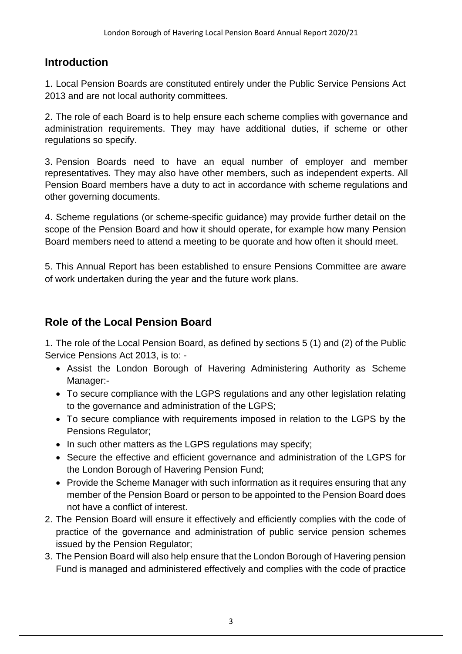#### **Introduction**

1. Local Pension Boards are constituted entirely under the Public Service Pensions Act 2013 and are not local authority committees.

2. The role of each Board is to help ensure each scheme complies with governance and administration requirements. They may have additional duties, if scheme or other regulations so specify.

3. Pension Boards need to have an equal number of employer and member representatives. They may also have other members, such as independent experts. All Pension Board members have a duty to act in accordance with scheme regulations and other governing documents.

4. Scheme regulations (or scheme-specific guidance) may provide further detail on the scope of the Pension Board and how it should operate, for example how many Pension Board members need to attend a meeting to be quorate and how often it should meet.

5. This Annual Report has been established to ensure Pensions Committee are aware of work undertaken during the year and the future work plans.

#### **Role of the Local Pension Board**

1. The role of the Local Pension Board, as defined by sections 5 (1) and (2) of the Public Service Pensions Act 2013, is to: -

- Assist the London Borough of Havering Administering Authority as Scheme Manager:-
- To secure compliance with the LGPS regulations and any other legislation relating to the governance and administration of the LGPS;
- To secure compliance with requirements imposed in relation to the LGPS by the Pensions Regulator;
- In such other matters as the LGPS regulations may specify;
- Secure the effective and efficient governance and administration of the LGPS for the London Borough of Havering Pension Fund;
- Provide the Scheme Manager with such information as it requires ensuring that any member of the Pension Board or person to be appointed to the Pension Board does not have a conflict of interest.
- 2. The Pension Board will ensure it effectively and efficiently complies with the code of practice of the governance and administration of public service pension schemes issued by the Pension Regulator;
- 3. The Pension Board will also help ensure that the London Borough of Havering pension Fund is managed and administered effectively and complies with the code of practice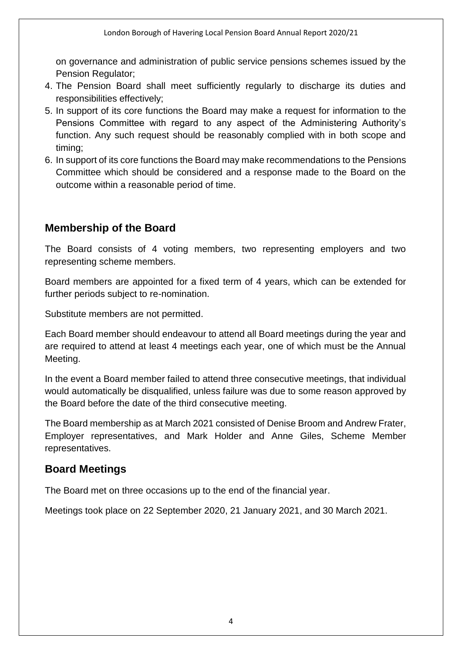on governance and administration of public service pensions schemes issued by the Pension Regulator;

- 4. The Pension Board shall meet sufficiently regularly to discharge its duties and responsibilities effectively;
- 5. In support of its core functions the Board may make a request for information to the Pensions Committee with regard to any aspect of the Administering Authority's function. Any such request should be reasonably complied with in both scope and timing;
- 6. In support of its core functions the Board may make recommendations to the Pensions Committee which should be considered and a response made to the Board on the outcome within a reasonable period of time.

#### **Membership of the Board**

The Board consists of 4 voting members, two representing employers and two representing scheme members.

Board members are appointed for a fixed term of 4 years, which can be extended for further periods subject to re-nomination.

Substitute members are not permitted.

Each Board member should endeavour to attend all Board meetings during the year and are required to attend at least 4 meetings each year, one of which must be the Annual Meeting.

In the event a Board member failed to attend three consecutive meetings, that individual would automatically be disqualified, unless failure was due to some reason approved by the Board before the date of the third consecutive meeting.

The Board membership as at March 2021 consisted of Denise Broom and Andrew Frater, Employer representatives, and Mark Holder and Anne Giles, Scheme Member representatives.

#### **Board Meetings**

The Board met on three occasions up to the end of the financial year.

Meetings took place on 22 September 2020, 21 January 2021, and 30 March 2021.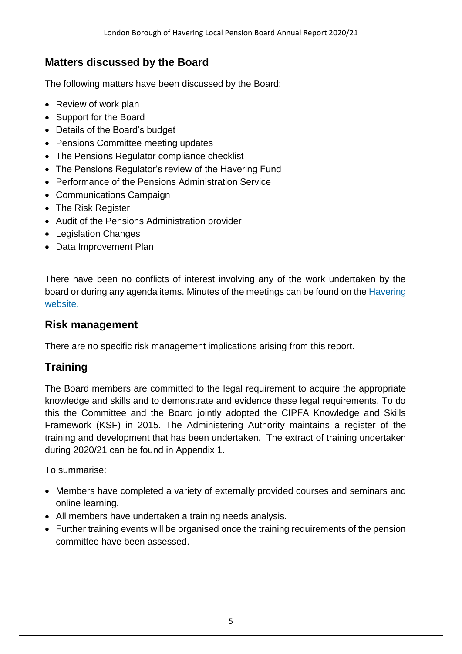#### **Matters discussed by the Board**

The following matters have been discussed by the Board:

- Review of work plan
- Support for the Board
- Details of the Board's budget
- Pensions Committee meeting updates
- The Pensions Regulator compliance checklist
- The Pensions Regulator's review of the Havering Fund
- Performance of the Pensions Administration Service
- Communications Campaign
- The Risk Register
- Audit of the Pensions Administration provider
- Legislation Changes
- Data Improvement Plan

There have been no conflicts of interest involving any of the work undertaken by the board or during any agenda items. Minutes of the meetings can be found on the [Havering](https://democracy.havering.gov.uk/mgCommitteeDetails.aspx?ID=547)  [website.](https://democracy.havering.gov.uk/mgCommitteeDetails.aspx?ID=547)

#### **Risk management**

There are no specific risk management implications arising from this report.

### **Training**

The Board members are committed to the legal requirement to acquire the appropriate knowledge and skills and to demonstrate and evidence these legal requirements. To do this the Committee and the Board jointly adopted the CIPFA Knowledge and Skills Framework (KSF) in 2015. The Administering Authority maintains a register of the training and development that has been undertaken. The extract of training undertaken during 2020/21 can be found in Appendix 1.

To summarise:

- Members have completed a variety of externally provided courses and seminars and online learning.
- All members have undertaken a training needs analysis.
- Further training events will be organised once the training requirements of the pension committee have been assessed.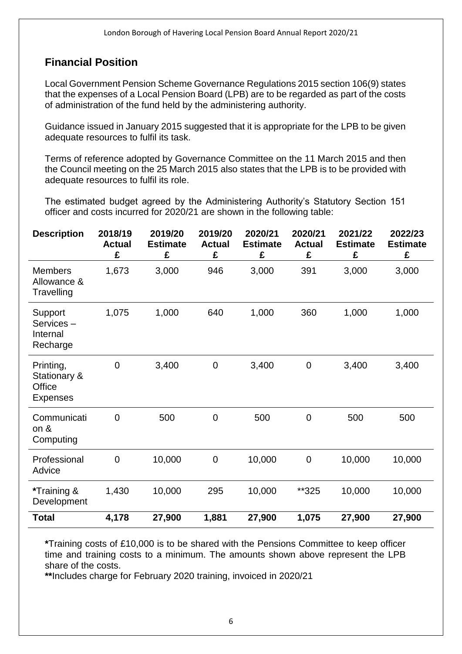#### **Financial Position**

Local Government Pension Scheme Governance Regulations 2015 section 106(9) states that the expenses of a Local Pension Board (LPB) are to be regarded as part of the costs of administration of the fund held by the administering authority.

Guidance issued in January 2015 suggested that it is appropriate for the LPB to be given adequate resources to fulfil its task.

Terms of reference adopted by Governance Committee on the 11 March 2015 and then the Council meeting on the 25 March 2015 also states that the LPB is to be provided with adequate resources to fulfil its role.

The estimated budget agreed by the Administering Authority's Statutory Section 151 officer and costs incurred for 2020/21 are shown in the following table:

| <b>Description</b>                                         | 2018/19<br><b>Actual</b><br>£ | 2019/20<br><b>Estimate</b><br>£ | 2019/20<br><b>Actual</b><br>£ | 2020/21<br><b>Estimate</b><br>£ | 2020/21<br><b>Actual</b><br>£ | 2021/22<br><b>Estimate</b><br>£ | 2022/23<br><b>Estimate</b><br>£ |
|------------------------------------------------------------|-------------------------------|---------------------------------|-------------------------------|---------------------------------|-------------------------------|---------------------------------|---------------------------------|
| <b>Members</b><br>Allowance &<br>Travelling                | 1,673                         | 3,000                           | 946                           | 3,000                           | 391                           | 3,000                           | 3,000                           |
| Support<br>Services-<br>Internal<br>Recharge               | 1,075                         | 1,000                           | 640                           | 1,000                           | 360                           | 1,000                           | 1,000                           |
| Printing,<br><b>Stationary &amp;</b><br>Office<br>Expenses | $\mathbf 0$                   | 3,400                           | $\overline{0}$                | 3,400                           | $\mathbf 0$                   | 3,400                           | 3,400                           |
| Communicati<br>on $8$<br>Computing                         | $\mathbf 0$                   | 500                             | $\mathbf 0$                   | 500                             | $\mathbf 0$                   | 500                             | 500                             |
| Professional<br>Advice                                     | $\mathbf 0$                   | 10,000                          | $\mathbf 0$                   | 10,000                          | $\mathbf 0$                   | 10,000                          | 10,000                          |
| *Training &<br>Development                                 | 1,430                         | 10,000                          | 295                           | 10,000                          | **325                         | 10,000                          | 10,000                          |
| <b>Total</b>                                               | 4,178                         | 27,900                          | 1,881                         | 27,900                          | 1,075                         | 27,900                          | 27,900                          |

**\***Training costs of £10,000 is to be shared with the Pensions Committee to keep officer time and training costs to a minimum. The amounts shown above represent the LPB share of the costs.

**\*\***Includes charge for February 2020 training, invoiced in 2020/21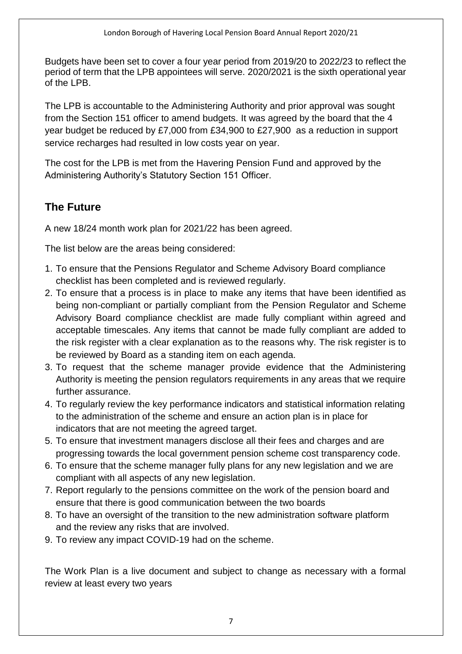Budgets have been set to cover a four year period from 2019/20 to 2022/23 to reflect the period of term that the LPB appointees will serve. 2020/2021 is the sixth operational year of the LPB.

The LPB is accountable to the Administering Authority and prior approval was sought from the Section 151 officer to amend budgets. It was agreed by the board that the 4 year budget be reduced by £7,000 from £34,900 to £27,900 as a reduction in support service recharges had resulted in low costs year on year.

The cost for the LPB is met from the Havering Pension Fund and approved by the Administering Authority's Statutory Section 151 Officer.

### **The Future**

A new 18/24 month work plan for 2021/22 has been agreed.

The list below are the areas being considered:

- 1. To ensure that the Pensions Regulator and Scheme Advisory Board compliance checklist has been completed and is reviewed regularly.
- 2. To ensure that a process is in place to make any items that have been identified as being non-compliant or partially compliant from the Pension Regulator and Scheme Advisory Board compliance checklist are made fully compliant within agreed and acceptable timescales. Any items that cannot be made fully compliant are added to the risk register with a clear explanation as to the reasons why. The risk register is to be reviewed by Board as a standing item on each agenda.
- 3. To request that the scheme manager provide evidence that the Administering Authority is meeting the pension regulators requirements in any areas that we require further assurance.
- 4. To regularly review the key performance indicators and statistical information relating to the administration of the scheme and ensure an action plan is in place for indicators that are not meeting the agreed target.
- 5. To ensure that investment managers disclose all their fees and charges and are progressing towards the local government pension scheme cost transparency code.
- 6. To ensure that the scheme manager fully plans for any new legislation and we are compliant with all aspects of any new legislation.
- 7. Report regularly to the pensions committee on the work of the pension board and ensure that there is good communication between the two boards
- 8. To have an oversight of the transition to the new administration software platform and the review any risks that are involved.
- 9. To review any impact COVID-19 had on the scheme.

The Work Plan is a live document and subject to change as necessary with a formal review at least every two years